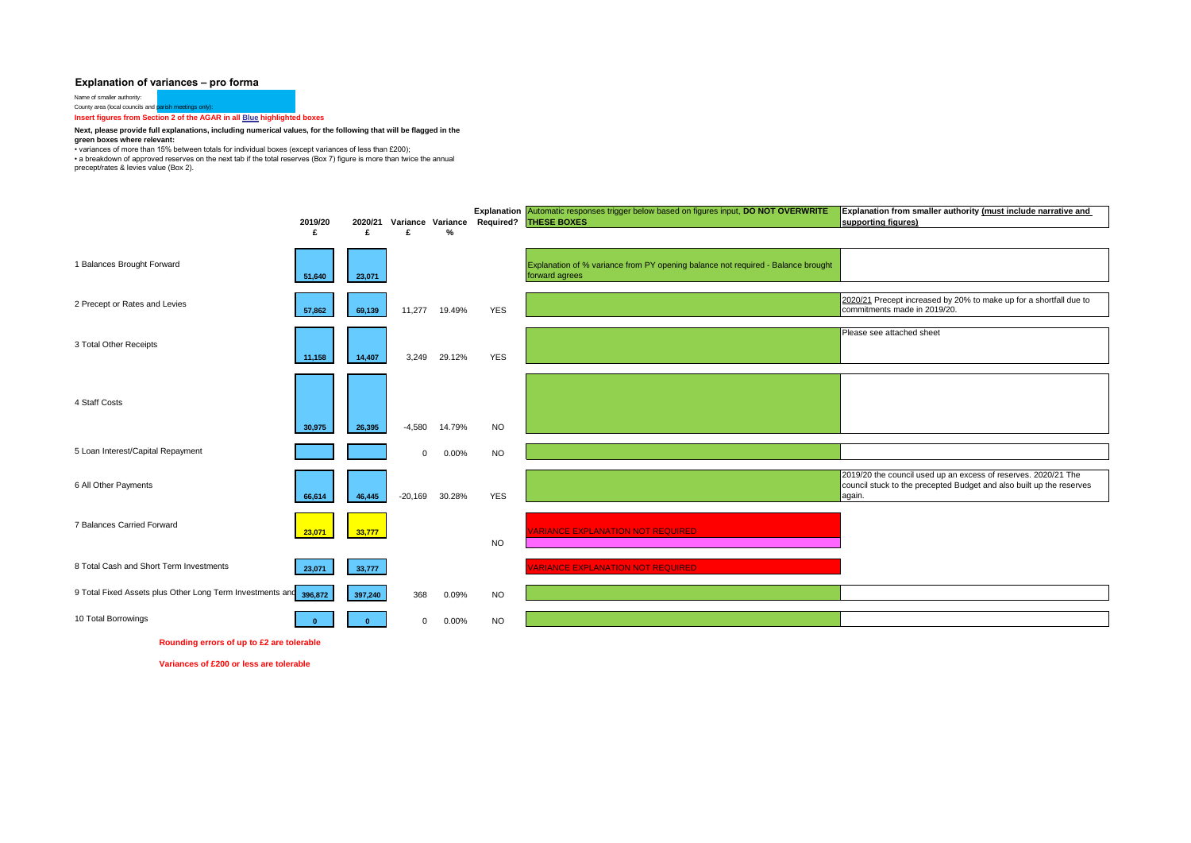## **Explanation of variances – pro forma**

Name of smaller authority:

County area (local councils and parish meetings only): **Insert figures from Section 2 of the AGAR in all Blue highlighted boxes** 

## **Next, please provide full explanations, including numerical values, for the following that will be flagged in the green boxes where relevant:**

• variances of more than 15% between totals for individual boxes (except variances of less than £200);

• a breakdown of approved reserves on the next tab if the total reserves (Box 7) figure is more than twice the annual

precept/rates & levies value (Box 2).



**Rounding errors of up to £2 are tolerable**

**Variances of £200 or less are tolerable**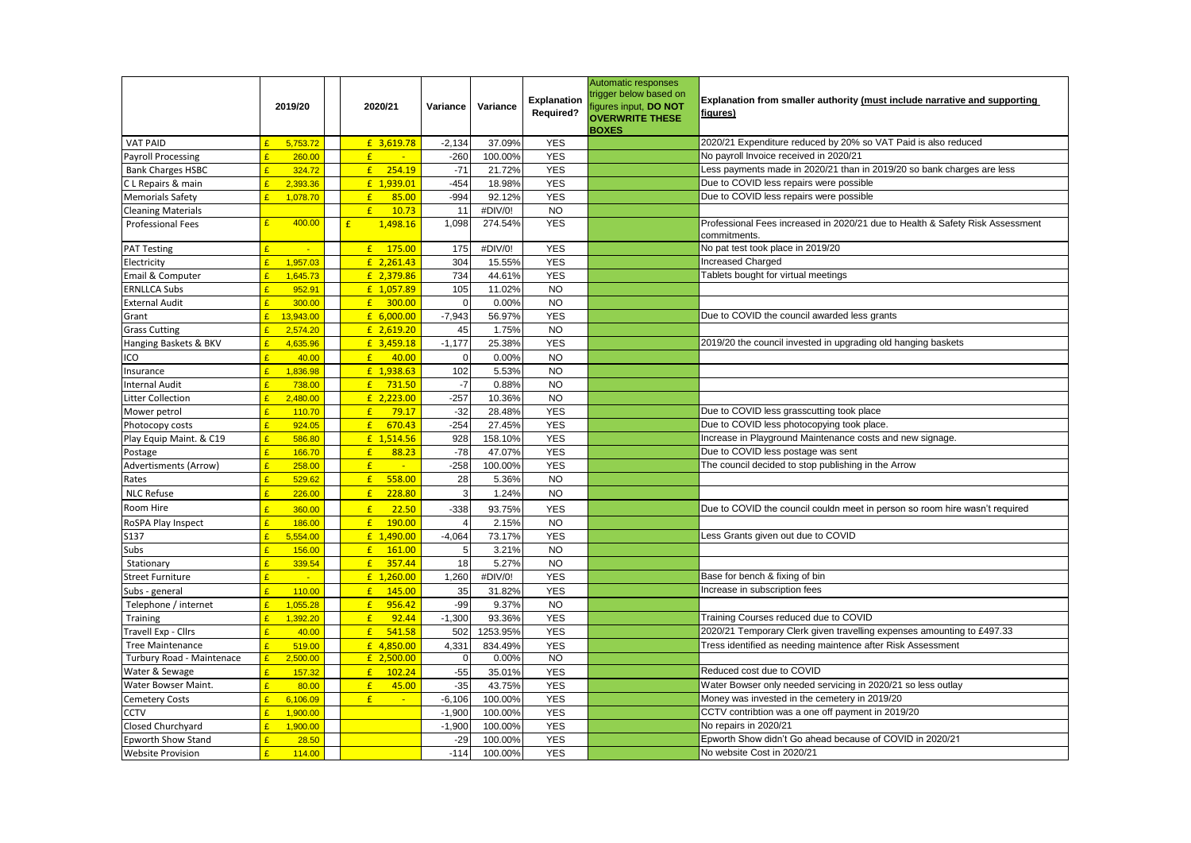|                           |              | 2019/20       | 2020/21                   | Variance       | Variance | Explanation<br><b>Required?</b> | Automatic responses<br>rigger below based on<br>igures input, DO NOT<br><b>OVERWRITE THESE</b><br><b>BOXES</b> | Explanation from smaller authority (must include narrative and supporting<br>figures)         |  |  |  |
|---------------------------|--------------|---------------|---------------------------|----------------|----------|---------------------------------|----------------------------------------------------------------------------------------------------------------|-----------------------------------------------------------------------------------------------|--|--|--|
| <b>VAT PAID</b>           | $\mathbf{r}$ | 5,753.72      | £ 3,619.78                | $-2,134$       | 37.09%   | <b>YES</b>                      |                                                                                                                | 2020/21 Expenditure reduced by 20% so VAT Paid is also reduced                                |  |  |  |
| <b>Payroll Processing</b> | $\mathbf{f}$ | 260.00        | E<br>$\mathbb{Z}$         | $-260$         | 100.00%  | <b>YES</b>                      |                                                                                                                | No payroll Invoice received in 2020/21                                                        |  |  |  |
| <b>Bank Charges HSBC</b>  | $\mathbf{f}$ | 324.72        | f<br>254.19               | $-71$          | 21.72%   | <b>YES</b>                      |                                                                                                                | Less payments made in 2020/21 than in 2019/20 so bank charges are less                        |  |  |  |
| C L Repairs & main        | $\mathbf{r}$ | 2,393.36      | £ 1,939.01                | $-454$         | 18.98%   | <b>YES</b>                      |                                                                                                                | Due to COVID less repairs were possible                                                       |  |  |  |
| Memorials Safety          | $\mathbf{f}$ | 1,078.70      | E<br>85.00                | $-994$         | 92.12%   | <b>YES</b>                      |                                                                                                                | Due to COVID less repairs were possible                                                       |  |  |  |
| <b>Cleaning Materials</b> |              |               | E<br>10.73                | 11             | #DIV/0!  | <b>NO</b>                       |                                                                                                                |                                                                                               |  |  |  |
| <b>Professional Fees</b>  | £            | 400.00        | 1,498.16<br>£             | 1,098          | 274.54%  | <b>YES</b>                      |                                                                                                                | Professional Fees increased in 2020/21 due to Health & Safety Risk Assessment<br>commitments. |  |  |  |
| <b>PAT Testing</b>        |              | $\mathcal{L}$ | $£$ 175.00                | 175            | #DIV/0!  | <b>YES</b>                      |                                                                                                                | No pat test took place in 2019/20                                                             |  |  |  |
| Electricity               | $\mathbf{f}$ | 1,957.03      | $£$ 2,261.43              | 304            | 15.55%   | <b>YES</b>                      |                                                                                                                | Increased Charged                                                                             |  |  |  |
| Email & Computer          | $\mathbf{c}$ | 1,645.73      | £ 2,379.86                | 734            | 44.61%   | <b>YES</b>                      |                                                                                                                | Tablets bought for virtual meetings                                                           |  |  |  |
| <b>ERNLLCA Subs</b>       | $\mathbf{c}$ | 952.91        | £ 1,057.89                | 105            | 11.02%   | <b>NO</b>                       |                                                                                                                |                                                                                               |  |  |  |
| <b>External Audit</b>     | $\mathbf{f}$ | 300.00        | $E = 300.00$              | $\Omega$       | 0.00%    | <b>NO</b>                       |                                                                                                                |                                                                                               |  |  |  |
| Grant                     | $\mathbf{f}$ | 13,943.00     | £ 6,000.00                | $-7,943$       | 56.97%   | <b>YES</b>                      |                                                                                                                | Due to COVID the council awarded less grants                                                  |  |  |  |
| <b>Grass Cutting</b>      | $\mathbf{f}$ | 2,574.20      | £ 2,619.20                | 45             | 1.75%    | <b>NO</b>                       |                                                                                                                |                                                                                               |  |  |  |
| Hanging Baskets & BKV     | $\mathbf{f}$ | 4,635.96      | £ 3,459.18                | $-1,177$       | 25.38%   | <b>YES</b>                      |                                                                                                                | 2019/20 the council invested in upgrading old hanging baskets                                 |  |  |  |
| ICO                       | £            | 40.00         | f<br>40.00                | $\mathbf 0$    | 0.00%    | <b>NO</b>                       |                                                                                                                |                                                                                               |  |  |  |
| Insurance                 | $\mathbf{f}$ | 1,836.98      | £ 1,938.63                | 102            | 5.53%    | <b>NO</b>                       |                                                                                                                |                                                                                               |  |  |  |
| <b>Internal Audit</b>     | $\mathbf{r}$ | 738.00        | f<br>731.50               | $-7$           | 0.88%    | <b>NO</b>                       |                                                                                                                |                                                                                               |  |  |  |
| Litter Collection         | $\mathbf{r}$ | 2,480.00      | £ 2,223.00                | $-257$         | 10.36%   | <b>NO</b>                       |                                                                                                                |                                                                                               |  |  |  |
| Mower petrol              | $\mathbf{c}$ | 110.70        | 79.17<br>f                | $-32$          | 28.48%   | <b>YES</b>                      |                                                                                                                | Due to COVID less grasscutting took place                                                     |  |  |  |
| Photocopy costs           | $\mathbf{r}$ | 924.05        | f<br>670.43               | $-254$         | 27.45%   | <b>YES</b>                      |                                                                                                                | Due to COVID less photocopying took place.                                                    |  |  |  |
| Play Equip Maint. & C19   | $\mathbf{P}$ | 586.80        | £ 1,514.56                | 928            | 158.10%  | <b>YES</b>                      |                                                                                                                | Increase in Playground Maintenance costs and new signage.                                     |  |  |  |
| Postage                   | $\mathbf{f}$ | 166.70        | $\mathbf{f}$<br>88.23     | $-78$          | 47.07%   | <b>YES</b>                      |                                                                                                                | Due to COVID less postage was sent                                                            |  |  |  |
| Advertisments (Arrow)     | $\mathbf{c}$ | 258.00        | $\mathbf{f}$<br><b>Ca</b> | $-258$         | 100.00%  | <b>YES</b>                      |                                                                                                                | The council decided to stop publishing in the Arrow                                           |  |  |  |
| Rates                     | $\mathbf{c}$ | 529.62        | 558.00<br>E               | 28             | 5.36%    | <b>NO</b>                       |                                                                                                                |                                                                                               |  |  |  |
| <b>NLC Refuse</b>         | $\mathbf{c}$ | 226.00        | 228.80<br>f               | $\overline{3}$ | 1.24%    | <b>NO</b>                       |                                                                                                                |                                                                                               |  |  |  |
| Room Hire                 |              | 360.00        | 22.50<br>£                | $-338$         | 93.75%   | <b>YES</b>                      |                                                                                                                | Due to COVID the council couldn meet in person so room hire wasn't required                   |  |  |  |
| RoSPA Play Inspect        | $\mathbf{c}$ | 186.00        | E<br>190.00               |                | 2.15%    | <b>NO</b>                       |                                                                                                                |                                                                                               |  |  |  |
| \$137                     | $\mathbf{c}$ | 5,554.00      | £ 1,490.00                | $-4,064$       | 73.17%   | <b>YES</b>                      |                                                                                                                | Less Grants given out due to COVID                                                            |  |  |  |
| Subs                      | $\mathbf{f}$ | 156.00        | E<br>161.00               | 5              | 3.21%    | <b>NO</b>                       |                                                                                                                |                                                                                               |  |  |  |
| Stationary                | $\mathbf{f}$ | 339.54        | f<br>357.44               | 18             | 5.27%    | <b>NO</b>                       |                                                                                                                |                                                                                               |  |  |  |
| Street Furniture          | £            | $\sim$        | £ 1,260.00                | 1,260          | #DIV/0!  | <b>YES</b>                      |                                                                                                                | Base for bench & fixing of bin                                                                |  |  |  |
| Subs - general            | $\mathbf{f}$ | 110.00        | f<br>145.00               | 35             | 31.82%   | <b>YES</b>                      |                                                                                                                | Increase in subscription fees                                                                 |  |  |  |
| Telephone / internet      | $\mathbf{c}$ | 1,055.28      | E<br>956.42               | $-99$          | 9.37%    | <b>NO</b>                       |                                                                                                                |                                                                                               |  |  |  |
| Training                  | $\mathbf{r}$ | 1,392.20      | E<br>92.44                | $-1,300$       | 93.36%   | <b>YES</b>                      |                                                                                                                | Training Courses reduced due to COVID                                                         |  |  |  |
| Fravell Exp - Cllrs       | $\mathbf{f}$ | 40.00         | E<br>541.58               | 502            | 1253.95% | <b>YES</b>                      |                                                                                                                | 2020/21 Temporary Clerk given travelling expenses amounting to £497.33                        |  |  |  |
| <b>Tree Maintenance</b>   | $\mathbf{f}$ | 519.00        | £ 4,850.00                | 4,331          | 834.49%  | <b>YES</b>                      |                                                                                                                | Tress identified as needing maintence after Risk Assessment                                   |  |  |  |
| Turbury Road - Maintenace | $\mathbf{f}$ | 2,500.00      | $£$ 2,500.00              | $\mathbf 0$    | 0.00%    | N <sub>O</sub>                  |                                                                                                                |                                                                                               |  |  |  |
| Water & Sewage            | $\mathbf{f}$ | 157.32        | 102.24<br>f               | $-55$          | 35.01%   | <b>YES</b>                      |                                                                                                                | Reduced cost due to COVID                                                                     |  |  |  |
| Water Bowser Maint.       | $\mathbf{r}$ | 80.00         | E<br>45.00                | $-35$          | 43.75%   | <b>YES</b>                      |                                                                                                                | Water Bowser only needed servicing in 2020/21 so less outlay                                  |  |  |  |
| Cemetery Costs            | $\mathbf{f}$ | 6,106.09      | $\mathbf{f}$<br>$\sim$    | $-6,106$       | 100.00%  | <b>YES</b>                      |                                                                                                                | Money was invested in the cemetery in 2019/20                                                 |  |  |  |
| <b>CCTV</b>               | $\mathbf{c}$ | 1.900.00      |                           | $-1,900$       | 100.00%  | <b>YES</b>                      |                                                                                                                | CCTV contribtion was a one off payment in 2019/20                                             |  |  |  |
| Closed Churchyard         | $\mathbf{f}$ | 1,900.00      |                           | $-1,900$       | 100.00%  | <b>YES</b>                      |                                                                                                                | No repairs in 2020/21                                                                         |  |  |  |
| <b>Epworth Show Stand</b> | $\mathbf{f}$ | 28.50         |                           | $-29$          | 100.00%  | <b>YES</b>                      |                                                                                                                | Epworth Show didn't Go ahead because of COVID in 2020/21                                      |  |  |  |
| <b>Website Provision</b>  | E            | 114.00        |                           | $-114$         | 100.00%  | <b>YES</b>                      |                                                                                                                | No website Cost in 2020/21                                                                    |  |  |  |